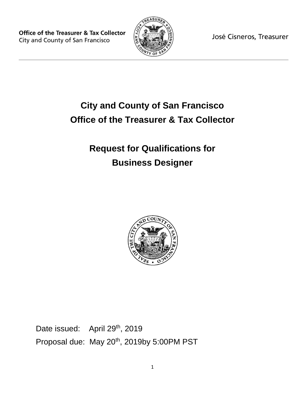**Office of the Treasurer & Tax Collector** City and County of San Francisco



José Cisneros, Treasurer

# **City and County of San Francisco Office of the Treasurer & Tax Collector**

## **Request for Qualifications for Business Designer**



Date issued: April 29<sup>th</sup>, 2019 Proposal due: May 20<sup>th</sup>, 2019by 5:00PM PST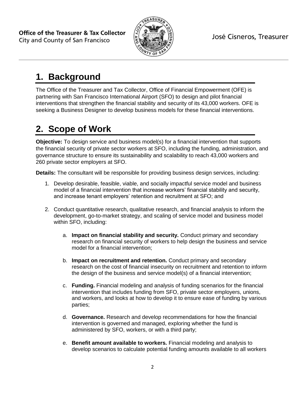

#### **1. Background**

The Office of the Treasurer and Tax Collector, Office of Financial Empowerment (OFE) is partnering with San Francisco International Airport (SFO) to design and pilot financial interventions that strengthen the financial stability and security of its 43,000 workers. OFE is seeking a Business Designer to develop business models for these financial interventions.

### **2. Scope of Work**

**Objective:** To design service and business model(s) for a financial intervention that supports the financial security of private sector workers at SFO, including the funding, administration, and governance structure to ensure its sustainability and scalability to reach 43,000 workers and 260 private sector employers at SFO.

**Details:** The consultant will be responsible for providing business design services, including:

- 1. Develop desirable, feasible, viable, and socially impactful service model and business model of a financial intervention that increase workers' financial stability and security, and increase tenant employers' retention and recruitment at SFO; and
- 2. Conduct quantitative research, qualitative research, and financial analysis to inform the development, go-to-market strategy, and scaling of service model and business model within SFO, including:
	- a. **Impact on financial stability and security.** Conduct primary and secondary research on financial security of workers to help design the business and service model for a financial intervention;
	- b. **Impact on recruitment and retention.** Conduct primary and secondary research on the cost of financial insecurity on recruitment and retention to inform the design of the business and service model(s) of a financial intervention;
	- c. **Funding.** Financial modeling and analysis of funding scenarios for the financial intervention that includes funding from SFO, private sector employers, unions, and workers, and looks at how to develop it to ensure ease of funding by various parties;
	- d. **Governance.** Research and develop recommendations for how the financial intervention is governed and managed, exploring whether the fund is administered by SFO, workers, or with a third party;
	- e. **Benefit amount available to workers.** Financial modeling and analysis to develop scenarios to calculate potential funding amounts available to all workers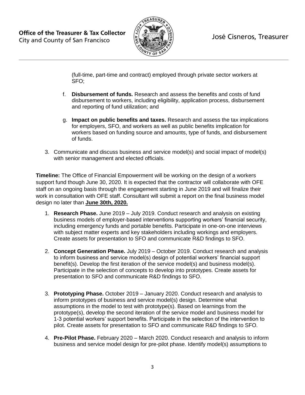

(full-time, part-time and contract) employed through private sector workers at SFO;

- f. **Disbursement of funds.** Research and assess the benefits and costs of fund disbursement to workers, including eligibility, application process, disbursement and reporting of fund utilization; and
- g. **Impact on public benefits and taxes.** Research and assess the tax implications for employers, SFO, and workers as well as public benefits implication for workers based on funding source and amounts, type of funds, and disbursement of funds.
- 3. Communicate and discuss business and service model(s) and social impact of model(s) with senior management and elected officials.

**Timeline:** The Office of Financial Empowerment will be working on the design of a workers support fund though June 30, 2020. It is expected that the contractor will collaborate with OFE staff on an ongoing basis through the engagement starting in June 2019 and will finalize their work in consultation with OFE staff. Consultant will submit a report on the final business model design no later than **June 30th, 2020.**

- 1. **Research Phase.** June 2019 July 2019. Conduct research and analysis on existing business models of employer-based interventions supporting workers' financial security, including emergency funds and portable benefits. Participate in one-on-one interviews with subject matter experts and key stakeholders including workings and employers. Create assets for presentation to SFO and communicate R&D findings to SFO.
- 2. **Concept Generation Phase.** July 2019 October 2019. Conduct research and analysis to inform business and service model(s) design of potential workers' financial support benefit(s). Develop the first iteration of the service model(s) and business model(s). Participate in the selection of concepts to develop into prototypes. Create assets for presentation to SFO and communicate R&D findings to SFO.
- 3. **Prototyping Phase.** October 2019 January 2020. Conduct research and analysis to inform prototypes of business and service model(s) design. Determine what assumptions in the model to test with prototype(s). Based on learnings from the prototype(s), develop the second iteration of the service model and business model for 1-3 potential workers' support benefits. Participate in the selection of the intervention to pilot. Create assets for presentation to SFO and communicate R&D findings to SFO.
- 4. **Pre-Pilot Phase.** February 2020 March 2020. Conduct research and analysis to inform business and service model design for pre-pilot phase. Identify model(s) assumptions to